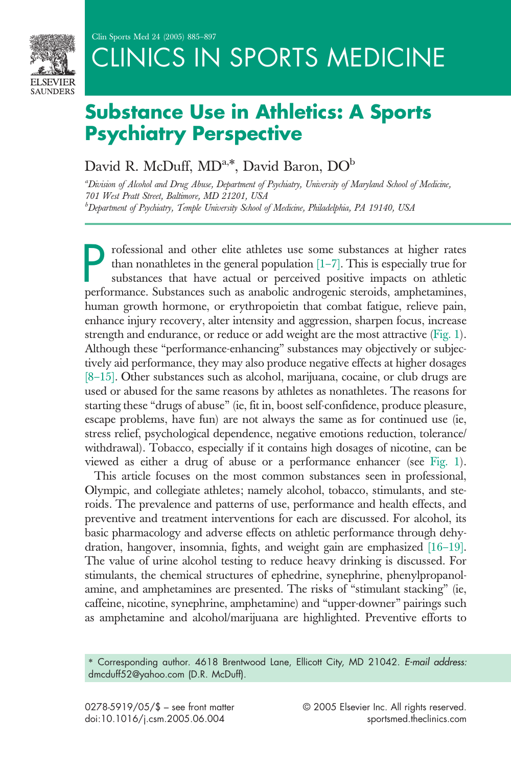Clin Sports Med 24 (2005) 885–897



# CLINICS IN SPORTS MEDICINE

## Substance Use in Athletics: A Sports Psychiatry Perspective

David R. McDuff,  $MD^{a,*}$ , David Baron,  $DO^{b}$ 

a Division of Alcohol and Drug Abuse, Department of Psychiatry, University of Maryland School of Medicine, 701 West Pratt Street, Baltimore, MD 21201, USA <sup>b</sup>Department of Psychiatry, Temple University School of Medicine, Philadelphia, PA 19140, USA

 $\sum$  rofessional and other elite athletes use some substances at higher rates<br>than nonathletes in the general population  $[1-7]$ . This is especially true for<br>substances that have actual or perceived positive impacts on at than nonathletes in the general population  $[1–7]$ . This is especially true for performance. Substances such as anabolic androgenic steroids, amphetamines, human growth hormone, or erythropoietin that combat fatigue, relieve pain, enhance injury recovery, alter intensity and aggression, sharpen focus, increase strength and endurance, or reduce or add weight are the most attractive [\(Fig. 1\)](#page-1-0). Although these "performance-enhancing" substances may objectively or subjectively aid performance, they may also produce negative effects at higher dosages [8–[15\]](#page-10-0). Other substances such as alcohol, marijuana, cocaine, or club drugs are used or abused for the same reasons by athletes as nonathletes. The reasons for starting these "drugs of abuse" (ie, fit in, boost self-confidence, produce pleasure, escape problems, have fun) are not always the same as for continued use (ie, stress relief, psychological dependence, negative emotions reduction, tolerance/ withdrawal). Tobacco, especially if it contains high dosages of nicotine, can be viewed as either a drug of abuse or a performance enhancer (see [Fig. 1\)](#page-1-0).

This article focuses on the most common substances seen in professional, Olympic, and collegiate athletes; namely alcohol, tobacco, stimulants, and steroids. The prevalence and patterns of use, performance and health effects, and preventive and treatment interventions for each are discussed. For alcohol, its basic pharmacology and adverse effects on athletic performance through dehydration, hangover, insomnia, fights, and weight gain are emphasized [16–[19\].](#page-11-0) The value of urine alcohol testing to reduce heavy drinking is discussed. For stimulants, the chemical structures of ephedrine, synephrine, phenylpropanolamine, and amphetamines are presented. The risks of "stimulant stacking" (ie, caffeine, nicotine, synephrine, amphetamine) and "upper-downer" pairings such as amphetamine and alcohol/marijuana are highlighted. Preventive efforts to

\* Corresponding author. 4618 Brentwood Lane, Ellicott City, MD 21042. E-mail address: dmcduff52@yahoo.com (D.R. McDuff).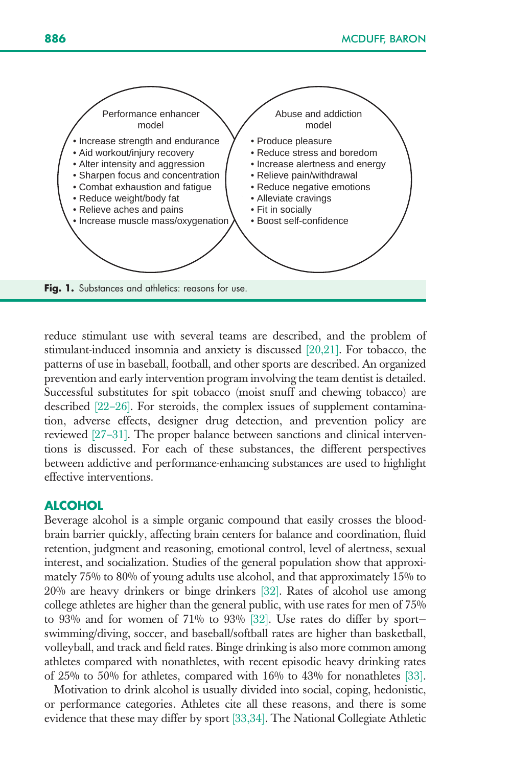<span id="page-1-0"></span>

reduce stimulant use with several teams are described, and the problem of stimulant-induced insomnia and anxiety is discussed [\[20,21\]](#page-11-0). For tobacco, the patterns of use in baseball, football, and other sports are described. An organized prevention and early intervention program involving the team dentist is detailed. Successful substitutes for spit tobacco (moist snuff and chewing tobacco) are described [22–[26\]](#page-11-0). For steroids, the complex issues of supplement contamination, adverse effects, designer drug detection, and prevention policy are reviewed [27–[31\].](#page-11-0) The proper balance between sanctions and clinical interventions is discussed. For each of these substances, the different perspectives between addictive and performance-enhancing substances are used to highlight effective interventions.

## **ALCOHOL**

Beverage alcohol is a simple organic compound that easily crosses the bloodbrain barrier quickly, affecting brain centers for balance and coordination, fluid retention, judgment and reasoning, emotional control, level of alertness, sexual interest, and socialization. Studies of the general population show that approximately 75% to 80% of young adults use alcohol, and that approximately 15% to 20% are heavy drinkers or binge drinkers [\[32\].](#page-11-0) Rates of alcohol use among college athletes are higher than the general public, with use rates for men of 75% to 93% and for women of 71% to 93% [\[32\].](#page-11-0) Use rates do differ by sport swimming/diving, soccer, and baseball/softball rates are higher than basketball, volleyball, and track and field rates. Binge drinking is also more common among athletes compared with nonathletes, with recent episodic heavy drinking rates of 25% to 50% for athletes, compared with 16% to 43% for nonathletes [\[33\].](#page-11-0)

Motivation to drink alcohol is usually divided into social, coping, hedonistic, or performance categories. Athletes cite all these reasons, and there is some evidence that these may differ by sport [\[33,34\]](#page-11-0). The National Collegiate Athletic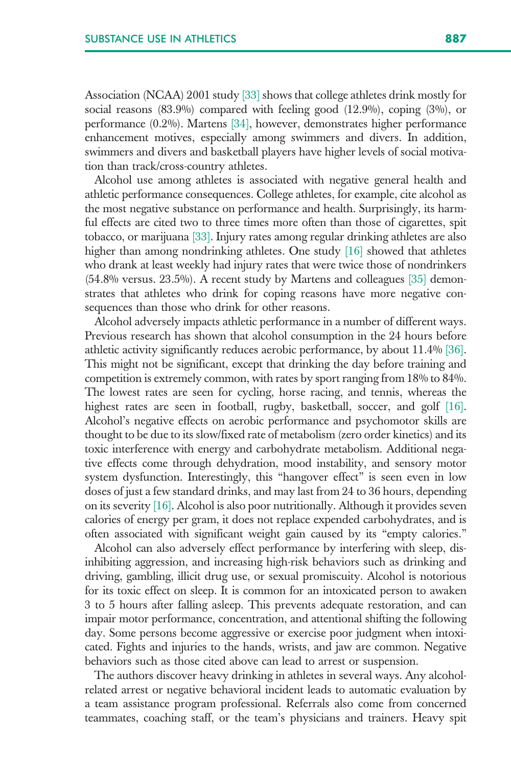Association (NCAA) 2001 study [\[33\]](#page-11-0) shows that college athletes drink mostly for social reasons  $(83.9\%)$  compared with feeling good  $(12.9\%)$ , coping  $(3\%)$ , or performance (0.2%). Martens [\[34\],](#page-11-0) however, demonstrates higher performance enhancement motives, especially among swimmers and divers. In addition, swimmers and divers and basketball players have higher levels of social motivation than track/cross-country athletes.

Alcohol use among athletes is associated with negative general health and athletic performance consequences. College athletes, for example, cite alcohol as the most negative substance on performance and health. Surprisingly, its harmful effects are cited two to three times more often than those of cigarettes, spit tobacco, or marijuana [\[33\].](#page-11-0) Injury rates among regular drinking athletes are also higher than among nondrinking athletes. One study [\[16\]](#page-11-0) showed that athletes who drank at least weekly had injury rates that were twice those of nondrinkers (54.8% versus. 23.5%). A recent study by Martens and colleagues [\[35\]](#page-11-0) demonstrates that athletes who drink for coping reasons have more negative consequences than those who drink for other reasons.

Alcohol adversely impacts athletic performance in a number of different ways. Previous research has shown that alcohol consumption in the 24 hours before athletic activity significantly reduces aerobic performance, by about 11.4% [\[36\].](#page-11-0) This might not be significant, except that drinking the day before training and competition is extremely common, with rates by sport ranging from 18% to 84%. The lowest rates are seen for cycling, horse racing, and tennis, whereas the highest rates are seen in football, rugby, basketball, soccer, and golf [\[16\].](#page-11-0) Alcohol's negative effects on aerobic performance and psychomotor skills are thought to be due to its slow/fixed rate of metabolism (zero order kinetics) and its toxic interference with energy and carbohydrate metabolism. Additional negative effects come through dehydration, mood instability, and sensory motor system dysfunction. Interestingly, this "hangover effect" is seen even in low doses of just a few standard drinks, and may last from 24 to 36 hours, depending on its severity [\[16\].](#page-11-0) Alcohol is also poor nutritionally. Although it provides seven calories of energy per gram, it does not replace expended carbohydrates, and is often associated with significant weight gain caused by its "empty calories."

Alcohol can also adversely effect performance by interfering with sleep, disinhibiting aggression, and increasing high-risk behaviors such as drinking and driving, gambling, illicit drug use, or sexual promiscuity. Alcohol is notorious for its toxic effect on sleep. It is common for an intoxicated person to awaken 3 to 5 hours after falling asleep. This prevents adequate restoration, and can impair motor performance, concentration, and attentional shifting the following day. Some persons become aggressive or exercise poor judgment when intoxicated. Fights and injuries to the hands, wrists, and jaw are common. Negative behaviors such as those cited above can lead to arrest or suspension.

The authors discover heavy drinking in athletes in several ways. Any alcoholrelated arrest or negative behavioral incident leads to automatic evaluation by a team assistance program professional. Referrals also come from concerned teammates, coaching staff, or the team's physicians and trainers. Heavy spit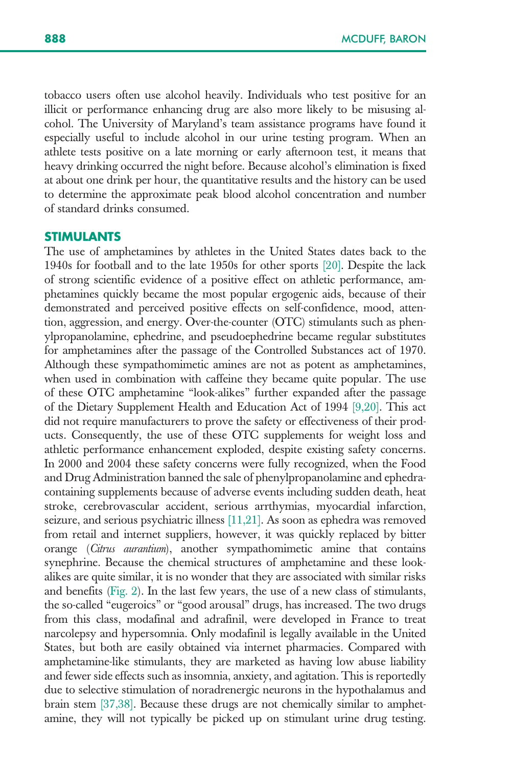tobacco users often use alcohol heavily. Individuals who test positive for an illicit or performance enhancing drug are also more likely to be misusing alcohol. The University of Maryland's team assistance programs have found it especially useful to include alcohol in our urine testing program. When an athlete tests positive on a late morning or early afternoon test, it means that heavy drinking occurred the night before. Because alcohol's elimination is fixed at about one drink per hour, the quantitative results and the history can be used to determine the approximate peak blood alcohol concentration and number of standard drinks consumed.

The use of amphetamines by athletes in the United States dates back to the 1940s for football and to the late 1950s for other sports [\[20\]](#page-11-0). Despite the lack of strong scientific evidence of a positive effect on athletic performance, amphetamines quickly became the most popular ergogenic aids, because of their demonstrated and perceived positive effects on self-confidence, mood, attention, aggression, and energy. Over-the-counter (OTC) stimulants such as phenylpropanolamine, ephedrine, and pseudoephedrine became regular substitutes for amphetamines after the passage of the Controlled Substances act of 1970. Although these sympathomimetic amines are not as potent as amphetamines, when used in combination with caffeine they became quite popular. The use of these OTC amphetamine "look-alikes" further expanded after the passage of the Dietary Supplement Health and Education Act of 1994 [\[9,20\].](#page-10-0) This act did not require manufacturers to prove the safety or effectiveness of their products. Consequently, the use of these OTC supplements for weight loss and athletic performance enhancement exploded, despite existing safety concerns. In 2000 and 2004 these safety concerns were fully recognized, when the Food and Drug Administration banned the sale of phenylpropanolamine and ephedracontaining supplements because of adverse events including sudden death, heat stroke, cerebrovascular accident, serious arrthymias, myocardial infarction, seizure, and serious psychiatric illness [\[11,21\]](#page-10-0). As soon as ephedra was removed from retail and internet suppliers, however, it was quickly replaced by bitter orange (Citrus aurantium), another sympathomimetic amine that contains synephrine. Because the chemical structures of amphetamine and these lookalikes are quite similar, it is no wonder that they are associated with similar risks and benefits [\(Fig. 2](#page-4-0)). In the last few years, the use of a new class of stimulants, the so-called "eugeroics" or "good arousal" drugs, has increased. The two drugs from this class, modafinal and adrafinil, were developed in France to treat narcolepsy and hypersomnia. Only modafinil is legally available in the United States, but both are easily obtained via internet pharmacies. Compared with amphetamine-like stimulants, they are marketed as having low abuse liability and fewer side effects such as insomnia, anxiety, and agitation. This is reportedly due to selective stimulation of noradrenergic neurons in the hypothalamus and brain stem [\[37,38\].](#page-11-0) Because these drugs are not chemically similar to amphetamine, they will not typically be picked up on stimulant urine drug testing.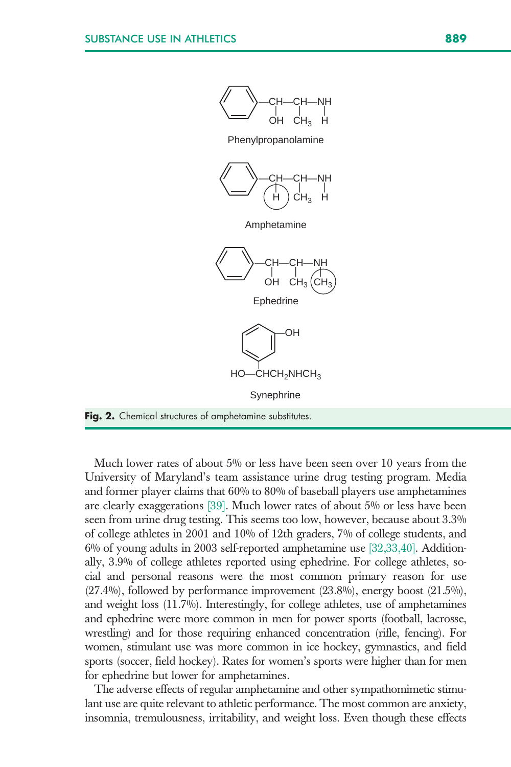<span id="page-4-0"></span>

Fig. 2. Chemical structures of amphetamine substitutes.

Much lower rates of about 5% or less have been seen over 10 years from the University of Maryland's team assistance urine drug testing program. Media and former player claims that 60% to 80% of baseball players use amphetamines are clearly exaggerations [\[39\].](#page-11-0) Much lower rates of about 5% or less have been seen from urine drug testing. This seems too low, however, because about 3.3% of college athletes in 2001 and 10% of 12th graders, 7% of college students, and 6% of young adults in 2003 self-reported amphetamine use [\[32,33,40\]](#page-11-0). Additionally, 3.9% of college athletes reported using ephedrine. For college athletes, social and personal reasons were the most common primary reason for use  $(27.4\%)$ , followed by performance improvement  $(23.8\%)$ , energy boost  $(21.5\%)$ , and weight loss (11.7%). Interestingly, for college athletes, use of amphetamines and ephedrine were more common in men for power sports (football, lacrosse, wrestling) and for those requiring enhanced concentration (rifle, fencing). For women, stimulant use was more common in ice hockey, gymnastics, and field sports (soccer, field hockey). Rates for women's sports were higher than for men for ephedrine but lower for amphetamines.

The adverse effects of regular amphetamine and other sympathomimetic stimulant use are quite relevant to athletic performance. The most common are anxiety, insomnia, tremulousness, irritability, and weight loss. Even though these effects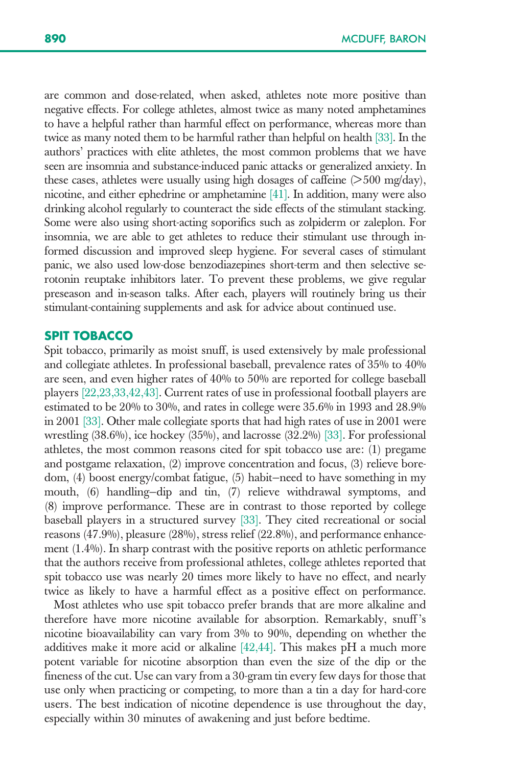are common and dose-related, when asked, athletes note more positive than negative effects. For college athletes, almost twice as many noted amphetamines to have a helpful rather than harmful effect on performance, whereas more than twice as many noted them to be harmful rather than helpful on health [\[33\]](#page-11-0). In the authors' practices with elite athletes, the most common problems that we have seen are insomnia and substance-induced panic attacks or generalized anxiety. In these cases, athletes were usually using high dosages of caffeine  $($ >500 mg/day), nicotine, and either ephedrine or amphetamine [\[41\].](#page-12-0) In addition, many were also drinking alcohol regularly to counteract the side effects of the stimulant stacking. Some were also using short-acting soporifics such as zolpiderm or zaleplon. For insomnia, we are able to get athletes to reduce their stimulant use through informed discussion and improved sleep hygiene. For several cases of stimulant panic, we also used low-dose benzodiazepines short-term and then selective serotonin reuptake inhibitors later. To prevent these problems, we give regular preseason and in-season talks. After each, players will routinely bring us their stimulant-containing supplements and ask for advice about continued use.

## **SPIT TOBACCO**

Spit tobacco, primarily as moist snuff, is used extensively by male professional and collegiate athletes. In professional baseball, prevalence rates of 35% to 40% are seen, and even higher rates of 40% to 50% are reported for college baseball players [\[22,23,33,42,43\]](#page-11-0). Current rates of use in professional football players are estimated to be 20% to 30%, and rates in college were 35.6% in 1993 and 28.9% in 2001 [\[33\]](#page-11-0). Other male collegiate sports that had high rates of use in 2001 were wrestling  $(38.6\%)$ , ice hockey  $(35\%)$ , and lacrosse  $(32.2\%)$  [\[33\].](#page-11-0) For professional athletes, the most common reasons cited for spit tobacco use are: (1) pregame and postgame relaxation, (2) improve concentration and focus, (3) relieve boredom, (4) boost energy/combat fatigue, (5) habit—need to have something in my mouth, (6) handling—dip and tin, (7) relieve withdrawal symptoms, and (8) improve performance. These are in contrast to those reported by college baseball players in a structured survey [\[33\].](#page-11-0) They cited recreational or social reasons (47.9%), pleasure (28%), stress relief (22.8%), and performance enhancement  $(1.4\%)$ . In sharp contrast with the positive reports on athletic performance that the authors receive from professional athletes, college athletes reported that spit tobacco use was nearly 20 times more likely to have no effect, and nearly twice as likely to have a harmful effect as a positive effect on performance.

Most athletes who use spit tobacco prefer brands that are more alkaline and therefore have more nicotine available for absorption. Remarkably, snuff 's nicotine bioavailability can vary from 3% to 90%, depending on whether the additives make it more acid or alkaline [\[42,44\].](#page-12-0) This makes pH a much more potent variable for nicotine absorption than even the size of the dip or the fineness of the cut. Use can vary from a 30-gram tin every few days for those that use only when practicing or competing, to more than a tin a day for hard-core users. The best indication of nicotine dependence is use throughout the day, especially within 30 minutes of awakening and just before bedtime.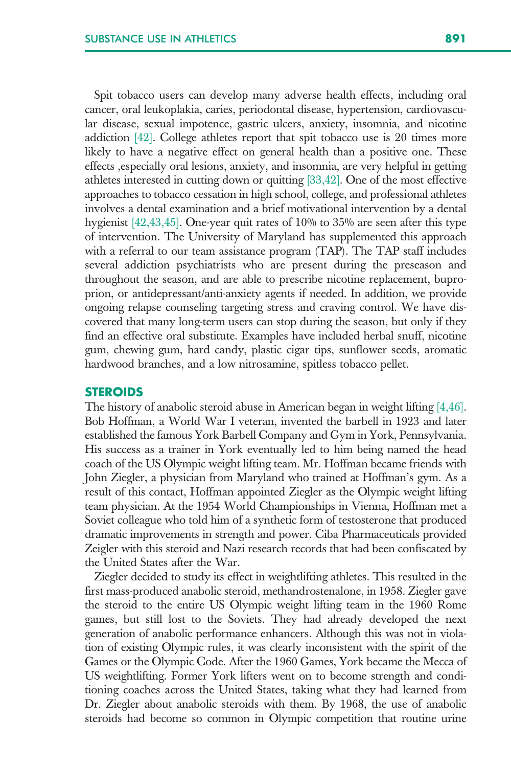Spit tobacco users can develop many adverse health effects, including oral cancer, oral leukoplakia, caries, periodontal disease, hypertension, cardiovascular disease, sexual impotence, gastric ulcers, anxiety, insomnia, and nicotine addiction [\[42\].](#page-12-0) College athletes report that spit tobacco use is 20 times more likely to have a negative effect on general health than a positive one. These effects ,especially oral lesions, anxiety, and insomnia, are very helpful in getting athletes interested in cutting down or quitting [\[33,42\]](#page-11-0). One of the most effective approaches to tobacco cessation in high school, college, and professional athletes involves a dental examination and a brief motivational intervention by a dental hygienist [\[42,43,45\].](#page-12-0) One-year quit rates of 10% to 35% are seen after this type of intervention. The University of Maryland has supplemented this approach with a referral to our team assistance program (TAP). The TAP staff includes several addiction psychiatrists who are present during the preseason and throughout the season, and are able to prescribe nicotine replacement, buproprion, or antidepressant/anti-anxiety agents if needed. In addition, we provide ongoing relapse counseling targeting stress and craving control. We have discovered that many long-term users can stop during the season, but only if they find an effective oral substitute. Examples have included herbal snuff, nicotine gum, chewing gum, hard candy, plastic cigar tips, sunflower seeds, aromatic hardwood branches, and a low nitrosamine, spitless tobacco pellet.

The history of anabolic steroid abuse in American began in weight lifting [\[4,46\].](#page-10-0) Bob Hoffman, a World War I veteran, invented the barbell in 1923 and later established the famous York Barbell Company and Gym in York, Pennsylvania. His success as a trainer in York eventually led to him being named the head coach of the US Olympic weight lifting team. Mr. Hoffman became friends with John Ziegler, a physician from Maryland who trained at Hoffman's gym. As a result of this contact, Hoffman appointed Ziegler as the Olympic weight lifting team physician. At the 1954 World Championships in Vienna, Hoffman met a Soviet colleague who told him of a synthetic form of testosterone that produced dramatic improvements in strength and power. Ciba Pharmaceuticals provided Zeigler with this steroid and Nazi research records that had been confiscated by the United States after the War.

Ziegler decided to study its effect in weightlifting athletes. This resulted in the first mass-produced anabolic steroid, methandrostenalone, in 1958. Ziegler gave the steroid to the entire US Olympic weight lifting team in the 1960 Rome games, but still lost to the Soviets. They had already developed the next generation of anabolic performance enhancers. Although this was not in violation of existing Olympic rules, it was clearly inconsistent with the spirit of the Games or the Olympic Code. After the 1960 Games, York became the Mecca of US weightlifting. Former York lifters went on to become strength and conditioning coaches across the United States, taking what they had learned from Dr. Ziegler about anabolic steroids with them. By 1968, the use of anabolic steroids had become so common in Olympic competition that routine urine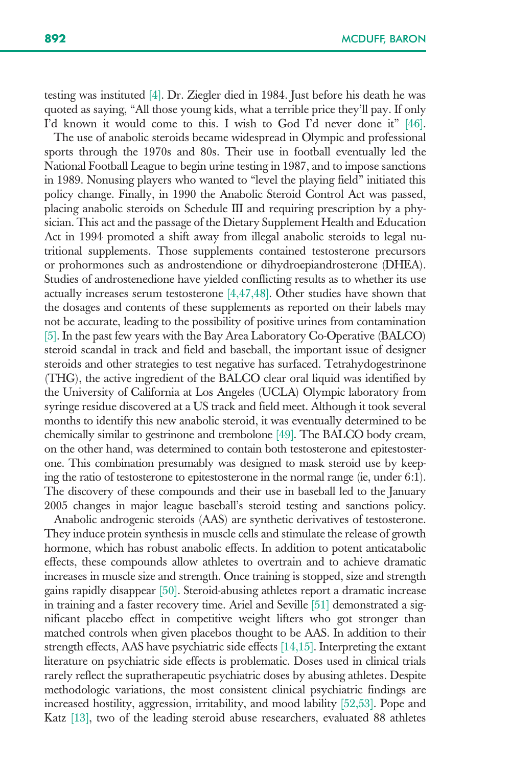testing was instituted [\[4\]](#page-10-0). Dr. Ziegler died in 1984. Just before his death he was quoted as saying, "All those young kids, what a terrible price they'll pay. If only I'd known it would come to this. I wish to God I'd never done it" [\[46\].](#page-12-0)

The use of anabolic steroids became widespread in Olympic and professional sports through the 1970s and 80s. Their use in football eventually led the National Football League to begin urine testing in 1987, and to impose sanctions in 1989. Nonusing players who wanted to "level the playing field" initiated this policy change. Finally, in 1990 the Anabolic Steroid Control Act was passed, placing anabolic steroids on Schedule III and requiring prescription by a physician. This act and the passage of the Dietary Supplement Health and Education Act in 1994 promoted a shift away from illegal anabolic steroids to legal nutritional supplements. Those supplements contained testosterone precursors or prohormones such as androstendione or dihydroepiandrosterone (DHEA). Studies of androstenedione have yielded conflicting results as to whether its use actually increases serum testosterone  $[4,47,48]$ . Other studies have shown that the dosages and contents of these supplements as reported on their labels may not be accurate, leading to the possibility of positive urines from contamination [\[5\].](#page-10-0) In the past few years with the Bay Area Laboratory Co-Operative (BALCO) steroid scandal in track and field and baseball, the important issue of designer steroids and other strategies to test negative has surfaced. Tetrahydogestrinone (THG), the active ingredient of the BALCO clear oral liquid was identified by the University of California at Los Angeles (UCLA) Olympic laboratory from syringe residue discovered at a US track and field meet. Although it took several months to identify this new anabolic steroid, it was eventually determined to be chemically similar to gestrinone and trembolone [\[49\]](#page-12-0). The BALCO body cream, on the other hand, was determined to contain both testosterone and epitestosterone. This combination presumably was designed to mask steroid use by keeping the ratio of testosterone to epitestosterone in the normal range (ie, under 6:1). The discovery of these compounds and their use in baseball led to the January 2005 changes in major league baseball's steroid testing and sanctions policy.

Anabolic androgenic steroids (AAS) are synthetic derivatives of testosterone. They induce protein synthesis in muscle cells and stimulate the release of growth hormone, which has robust anabolic effects. In addition to potent anticatabolic effects, these compounds allow athletes to overtrain and to achieve dramatic increases in muscle size and strength. Once training is stopped, size and strength gains rapidly disappear [\[50\]](#page-12-0). Steroid-abusing athletes report a dramatic increase in training and a faster recovery time. Ariel and Seville [\[51\]](#page-12-0) demonstrated a significant placebo effect in competitive weight lifters who got stronger than matched controls when given placebos thought to be AAS. In addition to their strength effects, AAS have psychiatric side effects [\[14,15\]](#page-11-0). Interpreting the extant literature on psychiatric side effects is problematic. Doses used in clinical trials rarely reflect the supratherapeutic psychiatric doses by abusing athletes. Despite methodologic variations, the most consistent clinical psychiatric findings are increased hostility, aggression, irritability, and mood lability [\[52,53\].](#page-12-0) Pope and Katz [\[13\]](#page-10-0), two of the leading steroid abuse researchers, evaluated 88 athletes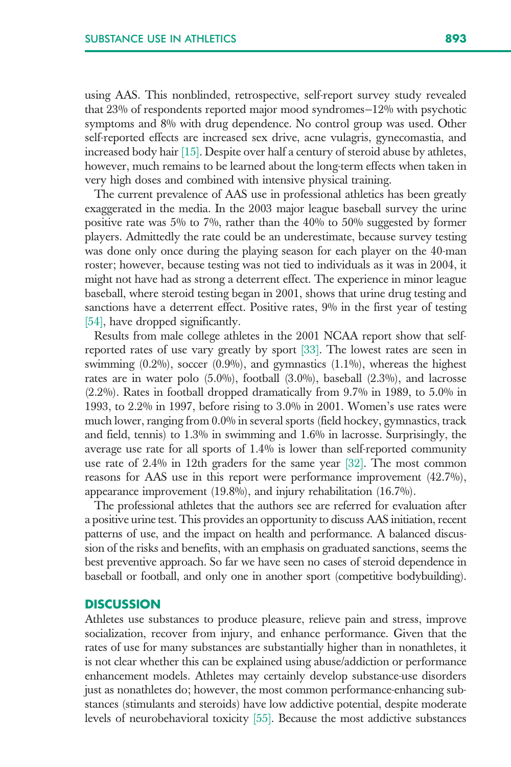using AAS. This nonblinded, retrospective, self-report survey study revealed that 23% of respondents reported major mood syndromes—12% with psychotic symptoms and 8% with drug dependence. No control group was used. Other self-reported effects are increased sex drive, acne vulagris, gynecomastia, and increased body hair [\[15\].](#page-11-0) Despite over half a century of steroid abuse by athletes, however, much remains to be learned about the long-term effects when taken in very high doses and combined with intensive physical training.

The current prevalence of AAS use in professional athletics has been greatly exaggerated in the media. In the 2003 major league baseball survey the urine positive rate was  $5\%$  to  $7\%$ , rather than the  $40\%$  to  $50\%$  suggested by former players. Admittedly the rate could be an underestimate, because survey testing was done only once during the playing season for each player on the 40-man roster; however, because testing was not tied to individuals as it was in 2004, it might not have had as strong a deterrent effect. The experience in minor league baseball, where steroid testing began in 2001, shows that urine drug testing and sanctions have a deterrent effect. Positive rates, 9% in the first year of testing [\[54\]](#page-12-0), have dropped significantly.

Results from male college athletes in the 2001 NCAA report show that selfreported rates of use vary greatly by sport [\[33\].](#page-11-0) The lowest rates are seen in swimming  $(0.2\%)$ , soccer  $(0.9\%)$ , and gymnastics  $(1.1\%)$ , whereas the highest rates are in water polo  $(5.0\%)$ , football  $(3.0\%)$ , baseball  $(2.3\%)$ , and lacrosse (2.2%). Rates in football dropped dramatically from 9.7% in 1989, to 5.0% in 1993, to 2.2% in 1997, before rising to 3.0% in 2001. Women's use rates were much lower, ranging from 0.0% in several sports (field hockey, gymnastics, track and field, tennis) to 1.3% in swimming and 1.6% in lacrosse. Surprisingly, the average use rate for all sports of 1.4% is lower than self-reported community use rate of 2.4% in 12th graders for the same year [\[32\]](#page-11-0). The most common reasons for AAS use in this report were performance improvement (42.7%), appearance improvement (19.8%), and injury rehabilitation (16.7%).

The professional athletes that the authors see are referred for evaluation after a positive urine test. This provides an opportunity to discuss AAS initiation, recent patterns of use, and the impact on health and performance. A balanced discussion of the risks and benefits, with an emphasis on graduated sanctions, seems the best preventive approach. So far we have seen no cases of steroid dependence in baseball or football, and only one in another sport (competitive bodybuilding).

Athletes use substances to produce pleasure, relieve pain and stress, improve socialization, recover from injury, and enhance performance. Given that the rates of use for many substances are substantially higher than in nonathletes, it is not clear whether this can be explained using abuse/addiction or performance enhancement models. Athletes may certainly develop substance-use disorders just as nonathletes do; however, the most common performance-enhancing substances (stimulants and steroids) have low addictive potential, despite moderate levels of neurobehavioral toxicity [\[55\]](#page-12-0). Because the most addictive substances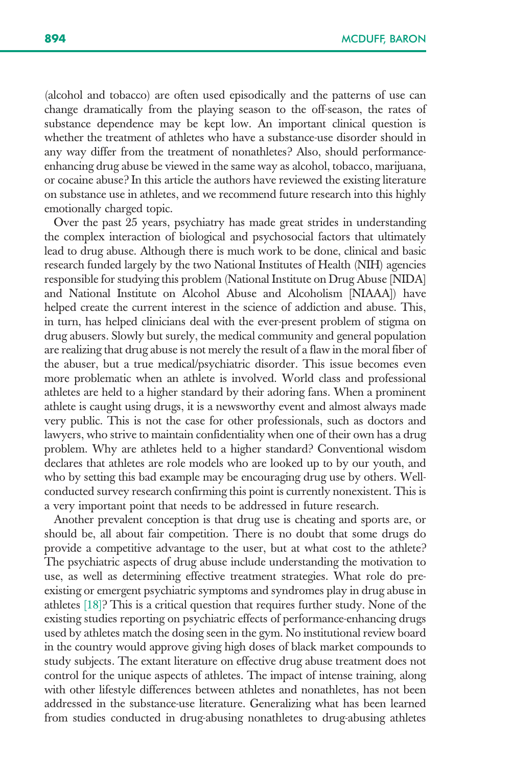(alcohol and tobacco) are often used episodically and the patterns of use can change dramatically from the playing season to the off-season, the rates of substance dependence may be kept low. An important clinical question is whether the treatment of athletes who have a substance-use disorder should in any way differ from the treatment of nonathletes? Also, should performanceenhancing drug abuse be viewed in the same way as alcohol, tobacco, marijuana, or cocaine abuse? In this article the authors have reviewed the existing literature on substance use in athletes, and we recommend future research into this highly emotionally charged topic.

Over the past 25 years, psychiatry has made great strides in understanding the complex interaction of biological and psychosocial factors that ultimately lead to drug abuse. Although there is much work to be done, clinical and basic research funded largely by the two National Institutes of Health (NIH) agencies responsible for studying this problem (National Institute on Drug Abuse [NIDA] and National Institute on Alcohol Abuse and Alcoholism [NIAAA]) have helped create the current interest in the science of addiction and abuse. This, in turn, has helped clinicians deal with the ever-present problem of stigma on drug abusers. Slowly but surely, the medical community and general population are realizing that drug abuse is not merely the result of a flaw in the moral fiber of the abuser, but a true medical/psychiatric disorder. This issue becomes even more problematic when an athlete is involved. World class and professional athletes are held to a higher standard by their adoring fans. When a prominent athlete is caught using drugs, it is a newsworthy event and almost always made very public. This is not the case for other professionals, such as doctors and lawyers, who strive to maintain confidentiality when one of their own has a drug problem. Why are athletes held to a higher standard? Conventional wisdom declares that athletes are role models who are looked up to by our youth, and who by setting this bad example may be encouraging drug use by others. Wellconducted survey research confirming this point is currently nonexistent. This is a very important point that needs to be addressed in future research.

Another prevalent conception is that drug use is cheating and sports are, or should be, all about fair competition. There is no doubt that some drugs do provide a competitive advantage to the user, but at what cost to the athlete? The psychiatric aspects of drug abuse include understanding the motivation to use, as well as determining effective treatment strategies. What role do preexisting or emergent psychiatric symptoms and syndromes play in drug abuse in athletes [\[18\]](#page-11-0)? This is a critical question that requires further study. None of the existing studies reporting on psychiatric effects of performance-enhancing drugs used by athletes match the dosing seen in the gym. No institutional review board in the country would approve giving high doses of black market compounds to study subjects. The extant literature on effective drug abuse treatment does not control for the unique aspects of athletes. The impact of intense training, along with other lifestyle differences between athletes and nonathletes, has not been addressed in the substance-use literature. Generalizing what has been learned from studies conducted in drug-abusing nonathletes to drug-abusing athletes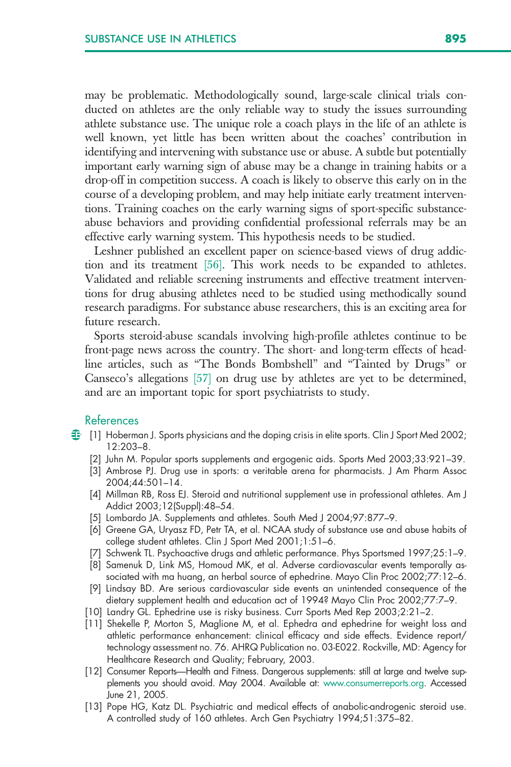<span id="page-10-0"></span>may be problematic. Methodologically sound, large-scale clinical trials conducted on athletes are the only reliable way to study the issues surrounding athlete substance use. The unique role a coach plays in the life of an athlete is well known, yet little has been written about the coaches' contribution in identifying and intervening with substance use or abuse. A subtle but potentially important early warning sign of abuse may be a change in training habits or a drop-off in competition success. A coach is likely to observe this early on in the course of a developing problem, and may help initiate early treatment interventions. Training coaches on the early warning signs of sport-specific substanceabuse behaviors and providing confidential professional referrals may be an effective early warning system. This hypothesis needs to be studied.

Leshner published an excellent paper on science-based views of drug addiction and its treatment [\[56\].](#page-12-0) This work needs to be expanded to athletes. Validated and reliable screening instruments and effective treatment interventions for drug abusing athletes need to be studied using methodically sound research paradigms. For substance abuse researchers, this is an exciting area for future research.

Sports steroid-abuse scandals involving high-profile athletes continue to be front-page news across the country. The short- and long-term effects of headline articles, such as "The Bonds Bombshell" and "Tainted by Drugs" or Canseco's allegations [\[57\]](#page-12-0) on drug use by athletes are yet to be determined, and are an important topic for sport psychiatrists to study.

### References

- $\mathbb{E}$  [1] Hoberman J. Sports physicians and the doping crisis in elite sports. Clin J Sport Med 2002; 12:203–8.
	- [2] Juhn M. Popular sports supplements and ergogenic aids. Sports Med 2003;33:921–39.
	- [3] Ambrose PJ. Drug use in sports: a veritable arena for pharmacists. J Am Pharm Assoc 2004;44:501–14.
	- [4] Millman RB, Ross EJ. Steroid and nutritional supplement use in professional athletes. Am J Addict 2003;12(Suppl):48–54.
	- [5] Lombardo JA. Supplements and athletes. South Med J 2004;97:877–9.
	- [6] Greene GA, Uryasz FD, Petr TA, et al. NCAA study of substance use and abuse habits of college student athletes. Clin J Sport Med 2001;1:51–6.
	- [7] Schwenk TL. Psychoactive drugs and athletic performance. Phys Sportsmed 1997;25:1–9.
	- [8] Samenuk D, Link MS, Homoud MK, et al. Adverse cardiovascular events temporally associated with ma huang, an herbal source of ephedrine. Mayo Clin Proc 2002;77:12–6.
	- [9] Lindsay BD. Are serious cardiovascular side events an unintended consequence of the dietary supplement health and education act of 1994? Mayo Clin Proc 2002;77:7–9.
	- [10] Landry GL. Ephedrine use is risky business. Curr Sports Med Rep 2003;2:21-2.
	- [11] Shekelle P, Morton S, Maglione M, et al. Ephedra and ephedrine for weight loss and athletic performance enhancement: clinical efficacy and side effects. Evidence report/ technology assessment no. 76. AHRQ Publication no. 03-E022. Rockville, MD: Agency for Healthcare Research and Quality; February, 2003.
	- [12] Consumer Reports—Health and Fitness. Dangerous supplements: still at large and twelve supplements you should avoid. May 2004. Available at: [www.consumerreports.org](www.consumerreports.org.). Accessed June 21, 2005.
	- [13] Pope HG, Katz DL. Psychiatric and medical effects of anabolic-androgenic steroid use. A controlled study of 160 athletes. Arch Gen Psychiatry 1994;51:375–82.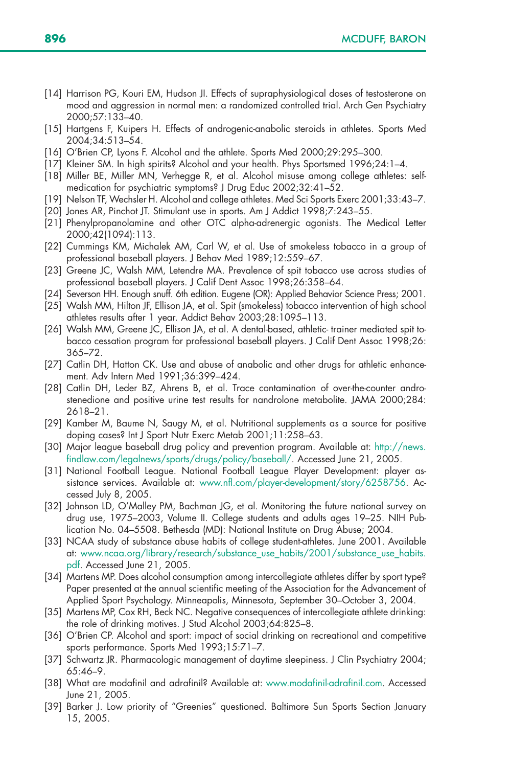- <span id="page-11-0"></span>[14] Harrison PG, Kouri EM, Hudson JI. Effects of supraphysiological doses of testosterone on mood and aggression in normal men: a randomized controlled trial. Arch Gen Psychiatry 2000;57:133–40.
- [15] Hartgens F, Kuipers H. Effects of androgenic-anabolic steroids in athletes. Sports Med 2004;34:513–54.
- [16] O'Brien CP, Lyons F. Alcohol and the athlete. Sports Med 2000;29:295-300.
- [17] Kleiner SM. In high spirits? Alcohol and your health. Phys Sportsmed 1996;24:1–4.
- [18] Miller BE, Miller MN, Verhegge R, et al. Alcohol misuse among college athletes: selfmedication for psychiatric symptoms? J Drug Educ 2002;32:41–52.
- [19] Nelson TF, Wechsler H. Alcohol and college athletes. Med Sci Sports Exerc 2001;33:43–7.
- [20] Jones AR, Pinchot JT. Stimulant use in sports. Am J Addict 1998;7:243–55.
- [21] Phenylpropanolamine and other OTC alpha-adrenergic agonists. The Medical Letter 2000;42(1094):113.
- [22] Cummings KM, Michalek AM, Carl W, et al. Use of smokeless tobacco in a group of professional baseball players. J Behav Med 1989;12:559–67.
- [23] Greene JC, Walsh MM, Letendre MA. Prevalence of spit tobacco use across studies of professional baseball players. J Calif Dent Assoc 1998;26:358–64.
- [24] Severson HH. Enough snuff. 6th edition. Eugene (OR): Applied Behavior Science Press; 2001.
- [25] Walsh MM, Hilton JF, Ellison JA, et al. Spit (smokeless) tobacco intervention of high school athletes results after 1 year. Addict Behav 2003;28:1095–113.
- [26] Walsh MM, Greene JC, Ellison JA, et al. A dental-based, athletic- trainer mediated spit tobacco cessation program for professional baseball players. J Calif Dent Assoc 1998;26: 365–72.
- [27] Catlin DH, Hatton CK. Use and abuse of anabolic and other drugs for athletic enhancement. Adv Intern Med 1991;36:399–424.
- [28] Catlin DH, Leder BZ, Ahrens B, et al. Trace contamination of over-the-counter androstenedione and positive urine test results for nandrolone metabolite. JAMA 2000;284: 2618–21.
- [29] Kamber M, Baume N, Saugy M, et al. Nutritional supplements as a source for positive doping cases? Int J Sport Nutr Exerc Metab 2001;11:258–63.
- [30] Major league baseball drug policy and prevention program. Available at: http://news. findlaw.com/legalnews/sports/drugs/policy/baseball/. Accessed June 21, 2005.
- [31] National Football League. National Football League Player Development: player assistance services. Available at: www.nfl.com/player-development/story/6258756. Accessed July 8, 2005.
- [32] Johnson LD, O'Malley PM, Bachman JG, et al. Monitoring the future national survey on drug use, 1975–2003, Volume II. College students and adults ages 19–25. NIH Publication No. 04–5508. Bethesda (MD): National Institute on Drug Abuse; 2004.
- [33] NCAA study of substance abuse habits of college student-athletes. June 2001. Available at: www.ncaa.org/library/research/substance\_use\_habits/2001/substance\_use\_habits. pdf. Accessed June 21, 2005.
- [34] Martens MP. Does alcohol consumption among intercollegiate athletes differ by sport type? Paper presented at the annual scientific meeting of the Association for the Advancement of Applied Sport Psychology. Minneapolis, Minnesota, September 30–October 3, 2004.
- [35] Martens MP, Cox RH, Beck NC. Negative consequences of intercollegiate athlete drinking: the role of drinking motives. J Stud Alcohol 2003;64:825–8.
- [36] O'Brien CP. Alcohol and sport: impact of social drinking on recreational and competitive sports performance. Sports Med 1993;15:71–7.
- [37] Schwartz JR. Pharmacologic management of daytime sleepiness. J Clin Psychiatry 2004; 65:46–9.
- [38] What are modafinil and adrafinil? Available at: www.modafinil-adrafinil.com. Accessed June 21, 2005.
- [39] Barker J. Low priority of "Greenies" questioned. Baltimore Sun Sports Section January 15, 2005.